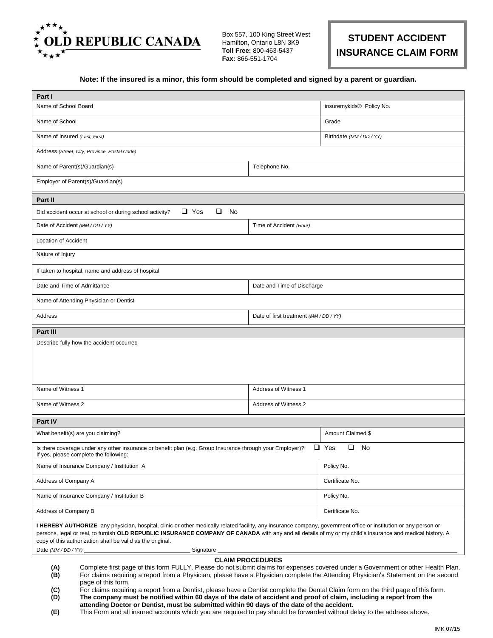

Box 557, 100 King Street West Hamilton, Ontario L8N 3K9 **Toll Free:** 800-463-5437 **Fax:** 866-551-1704

## **STUDENT ACCIDENT INSURANCE CLAIM FORM**

## **Note: If the insured is a minor, this form should be completed and signed by a parent or guardian.**

| Part I                                                                                                                                                                                                                                                                                                                                                                                                                                                                                                                                                                                                                                                                                                                                                                                                                                             |                                        |                            |  |  |  |  |  |  |  |  |  |  |  |
|----------------------------------------------------------------------------------------------------------------------------------------------------------------------------------------------------------------------------------------------------------------------------------------------------------------------------------------------------------------------------------------------------------------------------------------------------------------------------------------------------------------------------------------------------------------------------------------------------------------------------------------------------------------------------------------------------------------------------------------------------------------------------------------------------------------------------------------------------|----------------------------------------|----------------------------|--|--|--|--|--|--|--|--|--|--|--|
| Name of School Board                                                                                                                                                                                                                                                                                                                                                                                                                                                                                                                                                                                                                                                                                                                                                                                                                               | insuremykids <sup>®</sup> Policy No.   |                            |  |  |  |  |  |  |  |  |  |  |  |
| Name of School                                                                                                                                                                                                                                                                                                                                                                                                                                                                                                                                                                                                                                                                                                                                                                                                                                     | Grade                                  |                            |  |  |  |  |  |  |  |  |  |  |  |
| Name of Insured (Last, First)                                                                                                                                                                                                                                                                                                                                                                                                                                                                                                                                                                                                                                                                                                                                                                                                                      | Birthdate (MM / DD / YY)               |                            |  |  |  |  |  |  |  |  |  |  |  |
| Address (Street, City, Province, Postal Code)                                                                                                                                                                                                                                                                                                                                                                                                                                                                                                                                                                                                                                                                                                                                                                                                      |                                        |                            |  |  |  |  |  |  |  |  |  |  |  |
| Name of Parent(s)/Guardian(s)                                                                                                                                                                                                                                                                                                                                                                                                                                                                                                                                                                                                                                                                                                                                                                                                                      |                                        |                            |  |  |  |  |  |  |  |  |  |  |  |
| Employer of Parent(s)/Guardian(s)                                                                                                                                                                                                                                                                                                                                                                                                                                                                                                                                                                                                                                                                                                                                                                                                                  |                                        |                            |  |  |  |  |  |  |  |  |  |  |  |
| Part II                                                                                                                                                                                                                                                                                                                                                                                                                                                                                                                                                                                                                                                                                                                                                                                                                                            |                                        |                            |  |  |  |  |  |  |  |  |  |  |  |
| $\Box$<br>$\Box$ Yes<br>No<br>Did accident occur at school or during school activity?                                                                                                                                                                                                                                                                                                                                                                                                                                                                                                                                                                                                                                                                                                                                                              |                                        |                            |  |  |  |  |  |  |  |  |  |  |  |
| Date of Accident (MM / DD / YY)                                                                                                                                                                                                                                                                                                                                                                                                                                                                                                                                                                                                                                                                                                                                                                                                                    |                                        |                            |  |  |  |  |  |  |  |  |  |  |  |
| Location of Accident                                                                                                                                                                                                                                                                                                                                                                                                                                                                                                                                                                                                                                                                                                                                                                                                                               |                                        |                            |  |  |  |  |  |  |  |  |  |  |  |
| Nature of Injury                                                                                                                                                                                                                                                                                                                                                                                                                                                                                                                                                                                                                                                                                                                                                                                                                                   |                                        |                            |  |  |  |  |  |  |  |  |  |  |  |
| If taken to hospital, name and address of hospital                                                                                                                                                                                                                                                                                                                                                                                                                                                                                                                                                                                                                                                                                                                                                                                                 |                                        |                            |  |  |  |  |  |  |  |  |  |  |  |
| Date and Time of Admittance                                                                                                                                                                                                                                                                                                                                                                                                                                                                                                                                                                                                                                                                                                                                                                                                                        | Date and Time of Discharge             |                            |  |  |  |  |  |  |  |  |  |  |  |
| Name of Attending Physician or Dentist                                                                                                                                                                                                                                                                                                                                                                                                                                                                                                                                                                                                                                                                                                                                                                                                             |                                        |                            |  |  |  |  |  |  |  |  |  |  |  |
| Address                                                                                                                                                                                                                                                                                                                                                                                                                                                                                                                                                                                                                                                                                                                                                                                                                                            | Date of first treatment (MM / DD / YY) |                            |  |  |  |  |  |  |  |  |  |  |  |
| Part III                                                                                                                                                                                                                                                                                                                                                                                                                                                                                                                                                                                                                                                                                                                                                                                                                                           |                                        |                            |  |  |  |  |  |  |  |  |  |  |  |
|                                                                                                                                                                                                                                                                                                                                                                                                                                                                                                                                                                                                                                                                                                                                                                                                                                                    |                                        |                            |  |  |  |  |  |  |  |  |  |  |  |
| Name of Witness 1                                                                                                                                                                                                                                                                                                                                                                                                                                                                                                                                                                                                                                                                                                                                                                                                                                  | Address of Witness 1                   |                            |  |  |  |  |  |  |  |  |  |  |  |
| Name of Witness 2                                                                                                                                                                                                                                                                                                                                                                                                                                                                                                                                                                                                                                                                                                                                                                                                                                  | Address of Witness 2                   |                            |  |  |  |  |  |  |  |  |  |  |  |
| Part IV                                                                                                                                                                                                                                                                                                                                                                                                                                                                                                                                                                                                                                                                                                                                                                                                                                            |                                        |                            |  |  |  |  |  |  |  |  |  |  |  |
| What benefit(s) are you claiming?                                                                                                                                                                                                                                                                                                                                                                                                                                                                                                                                                                                                                                                                                                                                                                                                                  |                                        | Amount Claimed \$          |  |  |  |  |  |  |  |  |  |  |  |
| Is there coverage under any other insurance or benefit plan (e.g. Group Insurance through your Employer)?<br>If yes, please complete the following:                                                                                                                                                                                                                                                                                                                                                                                                                                                                                                                                                                                                                                                                                                |                                        | $\Box$ Yes<br>$\Box$<br>No |  |  |  |  |  |  |  |  |  |  |  |
| Name of Insurance Company / Institution A                                                                                                                                                                                                                                                                                                                                                                                                                                                                                                                                                                                                                                                                                                                                                                                                          | Policy No.                             |                            |  |  |  |  |  |  |  |  |  |  |  |
| Address of Company A                                                                                                                                                                                                                                                                                                                                                                                                                                                                                                                                                                                                                                                                                                                                                                                                                               | Certificate No.                        |                            |  |  |  |  |  |  |  |  |  |  |  |
| Name of Insurance Company / Institution B                                                                                                                                                                                                                                                                                                                                                                                                                                                                                                                                                                                                                                                                                                                                                                                                          | Policy No.                             |                            |  |  |  |  |  |  |  |  |  |  |  |
| Address of Company B                                                                                                                                                                                                                                                                                                                                                                                                                                                                                                                                                                                                                                                                                                                                                                                                                               | Certificate No.                        |                            |  |  |  |  |  |  |  |  |  |  |  |
| I HEREBY AUTHORIZE any physician, hospital, clinic or other medically related facility, any insurance company, government office or institution or any person or<br>persons, legal or real, to furnish OLD REPUBLIC INSURANCE COMPANY OF CANADA with any and all details of my or my child's insurance and medical history. A<br>copy of this authorization shall be valid as the original.                                                                                                                                                                                                                                                                                                                                                                                                                                                        |                                        |                            |  |  |  |  |  |  |  |  |  |  |  |
| Date (MM/DD/YY)<br>Signature                                                                                                                                                                                                                                                                                                                                                                                                                                                                                                                                                                                                                                                                                                                                                                                                                       |                                        |                            |  |  |  |  |  |  |  |  |  |  |  |
| <b>CLAIM PROCEDURES</b><br>Complete first page of this form FULLY. Please do not submit claims for expenses covered under a Government or other Health Plan.<br>(A)<br>For claims requiring a report from a Physician, please have a Physician complete the Attending Physician's Statement on the second<br>(B)<br>page of this form.<br>For claims requiring a report from a Dentist, please have a Dentist complete the Dental Claim form on the third page of this form.<br>(C)<br>(D)<br>The company must be notified within 60 days of the date of accident and proof of claim, including a report from the<br>attending Doctor or Dentist, must be submitted within 90 days of the date of the accident.<br>This Form and all insured accounts which you are required to pay should be forwarded without delay to the address above.<br>(E) |                                        |                            |  |  |  |  |  |  |  |  |  |  |  |